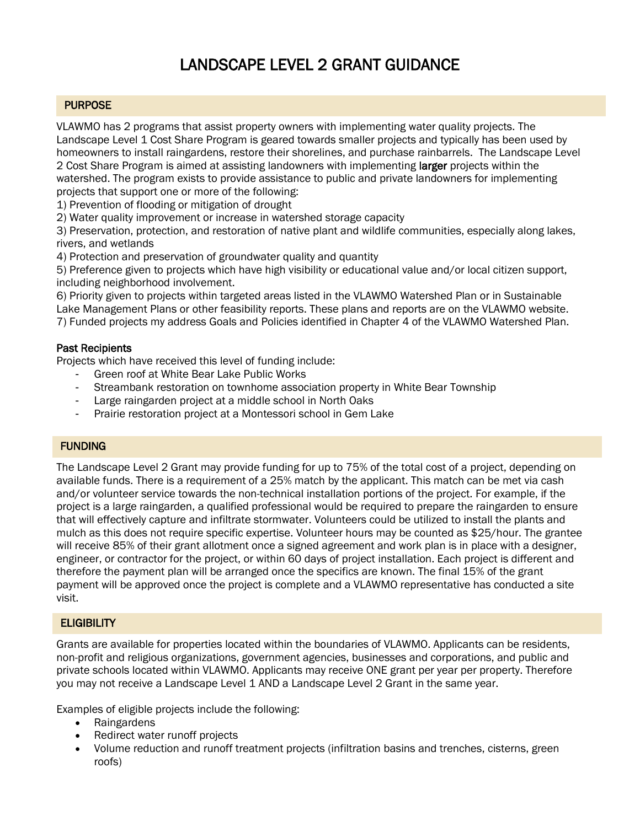# LANDSCAPE LEVEL 2 GRANT GUIDANCE

## **PURPOSE**

VLAWMO has 2 programs that assist property owners with implementing water quality projects. The Landscape Level 1 Cost Share Program is geared towards smaller projects and typically has been used by homeowners to install raingardens, restore their shorelines, and purchase rainbarrels. The Landscape Level 2 Cost Share Program is aimed at assisting landowners with implementing larger projects within the watershed. The program exists to provide assistance to public and private landowners for implementing projects that support one or more of the following:

1) Prevention of flooding or mitigation of drought

2) Water quality improvement or increase in watershed storage capacity

3) Preservation, protection, and restoration of native plant and wildlife communities, especially along lakes, rivers, and wetlands

4) Protection and preservation of groundwater quality and quantity

5) Preference given to projects which have high visibility or educational value and/or local citizen support, including neighborhood involvement.

6) Priority given to projects within targeted areas listed in the VLAWMO Watershed Plan or in Sustainable Lake Management Plans or other feasibility reports. These plans and reports are on the VLAWMO website. 7) Funded projects my address Goals and Policies identified in Chapter 4 of the VLAWMO Watershed Plan.

### Past Recipients

Projects which have received this level of funding include:

- Green roof at White Bear Lake Public Works
- Streambank restoration on townhome association property in White Bear Township
- Large raingarden project at a middle school in North Oaks
- Prairie restoration project at a Montessori school in Gem Lake

#### FUNDING

The Landscape Level 2 Grant may provide funding for up to 75% of the total cost of a project, depending on available funds. There is a requirement of a 25% match by the applicant. This match can be met via cash and/or volunteer service towards the non-technical installation portions of the project. For example, if the project is a large raingarden, a qualified professional would be required to prepare the raingarden to ensure that will effectively capture and infiltrate stormwater. Volunteers could be utilized to install the plants and mulch as this does not require specific expertise. Volunteer hours may be counted as \$25/hour. The grantee will receive 85% of their grant allotment once a signed agreement and work plan is in place with a designer, engineer, or contractor for the project, or within 60 days of project installation. Each project is different and therefore the payment plan will be arranged once the specifics are known. The final 15% of the grant payment will be approved once the project is complete and a VLAWMO representative has conducted a site visit.

## **ELIGIBILITY**

Grants are available for properties located within the boundaries of VLAWMO. Applicants can be residents, non-profit and religious organizations, government agencies, businesses and corporations, and public and private schools located within VLAWMO. Applicants may receive ONE grant per year per property. Therefore you may not receive a Landscape Level 1 AND a Landscape Level 2 Grant in the same year.

Examples of eligible projects include the following:

- Raingardens
- Redirect water runoff projects
- Volume reduction and runoff treatment projects (infiltration basins and trenches, cisterns, green roofs)